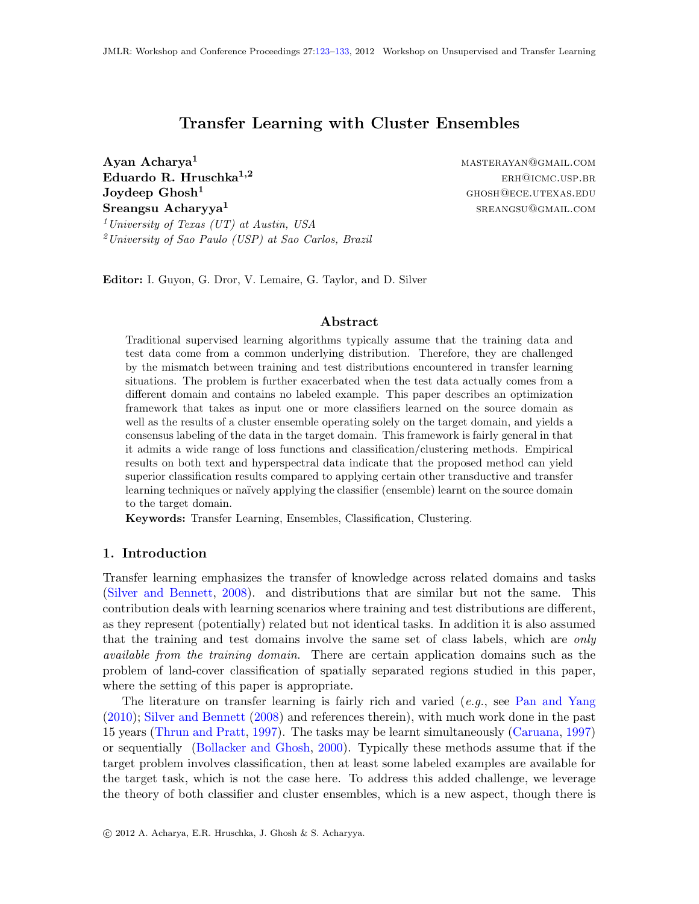# Transfer Learning with Cluster Ensembles

 $\rm\bf Ayan\,\, Acharya^1$  master and  $\rm\,MASTERAYAN@GMAIL. COM$  ${\bf E}$ duardo R. Hruschka<sup>1,2</sup> erhoristische Breiserhausp.br Joydeep Ghosh<sup>1</sup> ghosh<sup>2</sup> ghosh<sup>2</sup> ghosh<sup>3</sup> ghosh<sup>3</sup> ghosh<sup>3</sup> ghosh<sup>3</sup> Sreangsu Acharyya<sup>1</sup> <sup>1</sup> University of Texas (UT) at Austin, USA  $^{2}$ University of Sao Paulo (USP) at Sao Carlos, Brazil

sreangsu@gmail.com

Editor: I. Guyon, G. Dror, V. Lemaire, G. Taylor, and D. Silver

#### Abstract

Traditional supervised learning algorithms typically assume that the training data and test data come from a common underlying distribution. Therefore, they are challenged by the mismatch between training and test distributions encountered in transfer learning situations. The problem is further exacerbated when the test data actually comes from a different domain and contains no labeled example. This paper describes an optimization framework that takes as input one or more classifiers learned on the source domain as well as the results of a cluster ensemble operating solely on the target domain, and yields a consensus labeling of the data in the target domain. This framework is fairly general in that it admits a wide range of loss functions and classification/clustering methods. Empirical results on both text and hyperspectral data indicate that the proposed method can yield superior classification results compared to applying certain other transductive and transfer learning techniques or naïvely applying the classifier (ensemble) learnt on the source domain to the target domain.

Keywords: Transfer Learning, Ensembles, Classification, Clustering.

## 1. Introduction

Transfer learning emphasizes the transfer of knowledge across related domains and tasks [\(Silver and Bennett,](#page-10-1) [2008\)](#page-10-1). and distributions that are similar but not the same. This contribution deals with learning scenarios where training and test distributions are different, as they represent (potentially) related but not identical tasks. In addition it is also assumed that the training and test domains involve the same set of class labels, which are *only* available from the training domain. There are certain application domains such as the problem of land-cover classification of spatially separated regions studied in this paper, where the setting of this paper is appropriate.

The literature on transfer learning is fairly rich and varied  $(e.g.,\,$  see [Pan and Yang](#page-9-0) [\(2010\)](#page-9-0); [Silver and Bennett](#page-10-1) [\(2008\)](#page-10-1) and references therein), with much work done in the past 15 years [\(Thrun and Pratt,](#page-10-2) [1997\)](#page-10-2). The tasks may be learnt simultaneously [\(Caruana,](#page-9-1) [1997\)](#page-9-1) or sequentially [\(Bollacker and Ghosh,](#page-9-2) [2000\)](#page-9-2). Typically these methods assume that if the target problem involves classification, then at least some labeled examples are available for the target task, which is not the case here. To address this added challenge, we leverage the theory of both classifier and cluster ensembles, which is a new aspect, though there is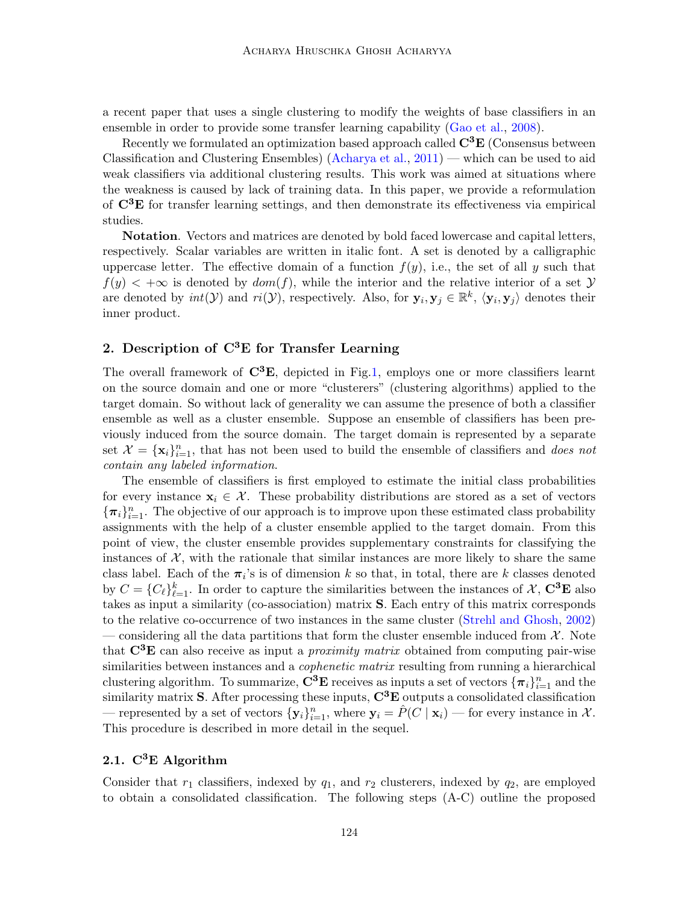a recent paper that uses a single clustering to modify the weights of base classifiers in an ensemble in order to provide some transfer learning capability [\(Gao et al.,](#page-9-3) [2008\)](#page-9-3).

Recently we formulated an optimization based approach called  $\mathbf{C}^3\mathbf{E}$  (Consensus between Classification and Clustering Ensembles) [\(Acharya et al.,](#page-9-4) [2011\)](#page-9-4) — which can be used to aid weak classifiers via additional clustering results. This work was aimed at situations where the weakness is caused by lack of training data. In this paper, we provide a reformulation of C3E for transfer learning settings, and then demonstrate its effectiveness via empirical studies.

Notation. Vectors and matrices are denoted by bold faced lowercase and capital letters, respectively. Scalar variables are written in italic font. A set is denoted by a calligraphic uppercase letter. The effective domain of a function  $f(y)$ , i.e., the set of all y such that  $f(y) < +\infty$  is denoted by  $dom(f)$ , while the interior and the relative interior of a set  $\mathcal Y$ are denoted by  $int(\mathcal{Y})$  and  $ri(\mathcal{Y})$ , respectively. Also, for  $\mathbf{y}_i, \mathbf{y}_j \in \mathbb{R}^k$ ,  $\langle \mathbf{y}_i, \mathbf{y}_j \rangle$  denotes their inner product.

## 2. Description of  $C^3E$  for Transfer Learning

The overall framework of  $\mathbb{C}^3\mathbb{E}$ , depicted in Fig[.1,](#page-2-0) employs one or more classifiers learnt on the source domain and one or more "clusterers" (clustering algorithms) applied to the target domain. So without lack of generality we can assume the presence of both a classifier ensemble as well as a cluster ensemble. Suppose an ensemble of classifiers has been previously induced from the source domain. The target domain is represented by a separate set  $\mathcal{X} = {\mathbf{x}_i}_{i=1}^n$ , that has not been used to build the ensemble of classifiers and *does not* contain any labeled information.

The ensemble of classifiers is first employed to estimate the initial class probabilities for every instance  $x_i \in \mathcal{X}$ . These probability distributions are stored as a set of vectors  ${\{\pi_i\}}_{i=1}^n$ . The objective of our approach is to improve upon these estimated class probability assignments with the help of a cluster ensemble applied to the target domain. From this point of view, the cluster ensemble provides supplementary constraints for classifying the instances of  $\mathcal{X}$ , with the rationale that similar instances are more likely to share the same class label. Each of the  $\pi_i$ 's is of dimension k so that, in total, there are k classes denoted by  $C = {C_{\ell}}_{\ell=1}^{k}$ . In order to capture the similarities between the instances of  $\mathcal{X}, \mathbf{C}^3\mathbf{E}$  also takes as input a similarity (co-association) matrix S. Each entry of this matrix corresponds to the relative co-occurrence of two instances in the same cluster [\(Strehl and Ghosh,](#page-10-3) [2002\)](#page-10-3) — considering all the data partitions that form the cluster ensemble induced from  $\mathcal{X}$ . Note that  $C^3E$  can also receive as input a *proximity matrix* obtained from computing pair-wise similarities between instances and a *cophenetic matrix* resulting from running a hierarchical clustering algorithm. To summarize,  $\mathbf{C}^3 \mathbf{E}$  receives as inputs a set of vectors  $\{\boldsymbol{\pi}_i\}_{i=1}^n$  and the similarity matrix S. After processing these inputs,  $\mathbf{C}^3\mathbf{E}$  outputs a consolidated classification — represented by a set of vectors  $\{y_i\}_{i=1}^n$ , where  $y_i = \hat{P}(C \mid x_i)$  — for every instance in X. This procedure is described in more detail in the sequel.

## 2.1.  $C^3E$  Algorithm

Consider that  $r_1$  classifiers, indexed by  $q_1$ , and  $r_2$  clusterers, indexed by  $q_2$ , are employed to obtain a consolidated classification. The following steps (A-C) outline the proposed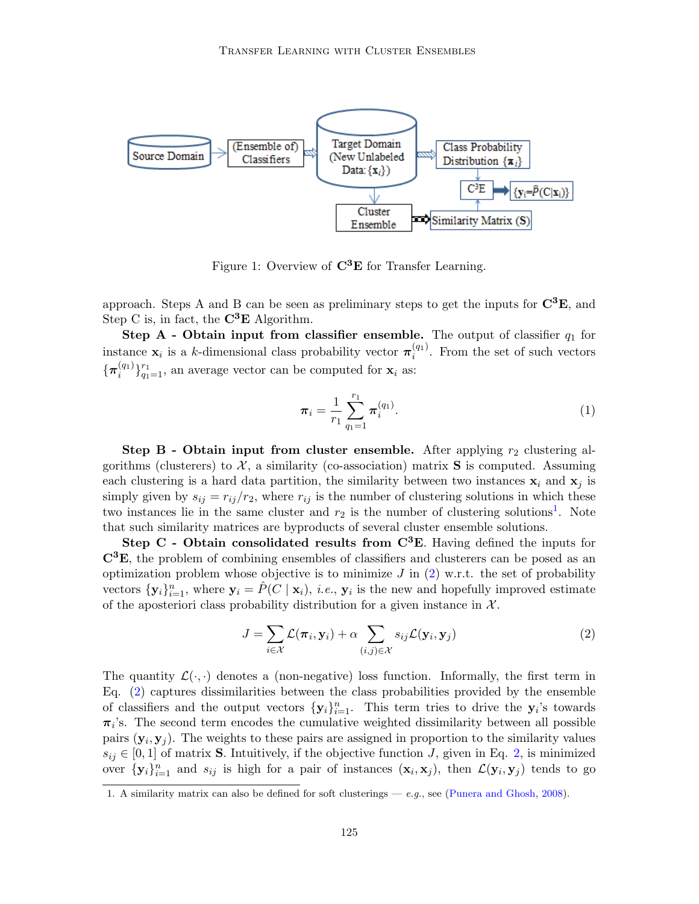

<span id="page-2-0"></span>Figure 1: Overview of  $C^3E$  for Transfer Learning.

approach. Steps A and B can be seen as preliminary steps to get the inputs for  $\mathbf{C}^3\mathbf{E}$ , and Step C is, in fact, the  $\mathbf{C}^3\mathbf{E}$  Algorithm.

Step A - Obtain input from classifier ensemble. The output of classifier  $q_1$  for instance  $\mathbf{x}_i$  is a k-dimensional class probability vector  $\pi_i^{(q_1)}$  $i^{(q_1)}$ . From the set of such vectors  $\{\boldsymbol{\pi}_i^{(q_1)}$  $\binom{(q_1)}{q_1-1}$ , an average vector can be computed for  $\mathbf{x}_i$  as:

$$
\boldsymbol{\pi}_i = \frac{1}{r_1} \sum_{q_1=1}^{r_1} \boldsymbol{\pi}_i^{(q_1)}.
$$
\n(1)

**Step B - Obtain input from cluster ensemble.** After applying  $r_2$  clustering algorithms (clusterers) to  $\mathcal{X}$ , a similarity (co-association) matrix **S** is computed. Assuming each clustering is a hard data partition, the similarity between two instances  $x_i$  and  $x_j$  is simply given by  $s_{ij} = r_{ij}/r_2$ , where  $r_{ij}$  is the number of clustering solutions in which these two instances lie in the same cluster and  $r_2$  is the number of clustering solutions<sup>[1](#page-2-1)</sup>. Note that such similarity matrices are byproducts of several cluster ensemble solutions.

Step C - Obtain consolidated results from  $C<sup>3</sup>E$ . Having defined the inputs for  $\mathbb{C}^3\mathbb{E}$ , the problem of combining ensembles of classifiers and clusterers can be posed as an optimization problem whose objective is to minimize  $J$  in  $(2)$  w.r.t. the set of probability vectors  $\{y_i\}_{i=1}^n$ , where  $y_i = \hat{P}(C | x_i)$ , *i.e.*,  $y_i$  is the new and hopefully improved estimate of the aposteriori class probability distribution for a given instance in  $\mathcal{X}$ .

<span id="page-2-2"></span>
$$
J = \sum_{i \in \mathcal{X}} \mathcal{L}(\pi_i, \mathbf{y}_i) + \alpha \sum_{(i,j) \in \mathcal{X}} s_{ij} \mathcal{L}(\mathbf{y}_i, \mathbf{y}_j)
$$
(2)

The quantity  $\mathcal{L}(\cdot, \cdot)$  denotes a (non-negative) loss function. Informally, the first term in Eq. [\(2\)](#page-2-2) captures dissimilarities between the class probabilities provided by the ensemble of classifiers and the output vectors  $\{y_i\}_{i=1}^n$ . This term tries to drive the  $y_i$ 's towards  $\pi_i$ 's. The second term encodes the cumulative weighted dissimilarity between all possible pairs  $(\mathbf{y}_i, \mathbf{y}_j)$ . The weights to these pairs are assigned in proportion to the similarity values  $s_{ij} \in [0,1]$  of matrix **S**. Intuitively, if the objective function J, given in Eq. [2,](#page-2-2) is minimized over  $\{y_i\}_{i=1}^n$  and  $s_{ij}$  is high for a pair of instances  $(x_i, x_j)$ , then  $\mathcal{L}(y_i, y_j)$  tends to go

<span id="page-2-1"></span><sup>1.</sup> A similarity matrix can also be defined for soft clusterings  $- e.g.,$  see [\(Punera and Ghosh,](#page-10-4) [2008\)](#page-10-4).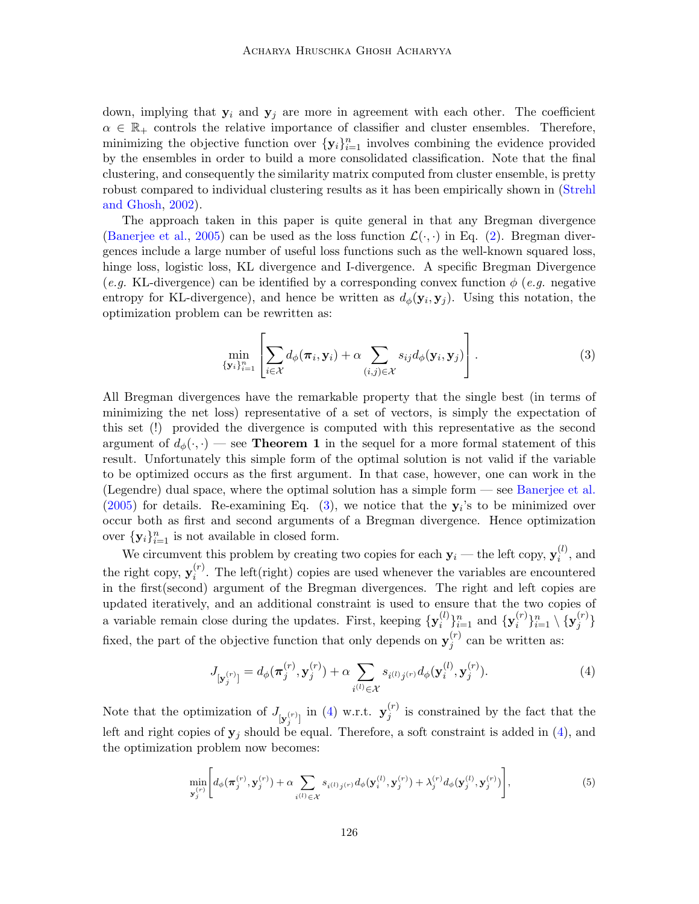down, implying that  $y_i$  and  $y_j$  are more in agreement with each other. The coefficient  $\alpha \in \mathbb{R}_+$  controls the relative importance of classifier and cluster ensembles. Therefore, minimizing the objective function over  $\{y_i\}_{i=1}^n$  involves combining the evidence provided by the ensembles in order to build a more consolidated classification. Note that the final clustering, and consequently the similarity matrix computed from cluster ensemble, is pretty robust compared to individual clustering results as it has been empirically shown in [\(Strehl](#page-10-3) [and Ghosh,](#page-10-3) [2002\)](#page-10-3).

The approach taken in this paper is quite general in that any Bregman divergence [\(Banerjee et al.,](#page-9-5) [2005\)](#page-9-5) can be used as the loss function  $\mathcal{L}(\cdot, \cdot)$  in Eq. [\(2\)](#page-2-2). Bregman divergences include a large number of useful loss functions such as the well-known squared loss, hinge loss, logistic loss, KL divergence and I-divergence. A specific Bregman Divergence (e.g. KL-divergence) can be identified by a corresponding convex function  $\phi$  (e.g. negative entropy for KL-divergence), and hence be written as  $d_{\phi}(\mathbf{y}_i, \mathbf{y}_j)$ . Using this notation, the optimization problem can be rewritten as:

<span id="page-3-0"></span>
$$
\min_{\{\mathbf{y}_i\}_{i=1}^n} \left[ \sum_{i \in \mathcal{X}} d_{\phi}(\boldsymbol{\pi}_i, \mathbf{y}_i) + \alpha \sum_{(i,j) \in \mathcal{X}} s_{ij} d_{\phi}(\mathbf{y}_i, \mathbf{y}_j) \right]. \tag{3}
$$

All Bregman divergences have the remarkable property that the single best (in terms of minimizing the net loss) representative of a set of vectors, is simply the expectation of this set (!) provided the divergence is computed with this representative as the second argument of  $d_{\phi}(\cdot, \cdot)$  — see **Theorem 1** in the sequel for a more formal statement of this result. Unfortunately this simple form of the optimal solution is not valid if the variable to be optimized occurs as the first argument. In that case, however, one can work in the (Legendre) dual space, where the optimal solution has a simple form — see [Banerjee et al.](#page-9-5)  $(2005)$  for details. Re-examining Eq. [\(3\)](#page-3-0), we notice that the  $y_i$ 's to be minimized over occur both as first and second arguments of a Bregman divergence. Hence optimization over  $\{y_i\}_{i=1}^n$  is not available in closed form.

We circumvent this problem by creating two copies for each  $y_i$  — the left copy,  $y_i^{(l)}$  $i^{(i)}$ , and the right copy,  $y_i^{(r)}$  $i^{(r)}$ . The left(right) copies are used whenever the variables are encountered in the first(second) argument of the Bregman divergences. The right and left copies are updated iteratively, and an additional constraint is used to ensure that the two copies of a variable remain close during the updates. First, keeping  $\{y_i^{(l)}\}$  $\{y_i^{(l)}\}_{i=1}^n$  and  $\{y_i^{(r)}\}$  $\{ \boldsymbol{x}_i^{(r)} \}_{i=1}^n \setminus \{ \mathbf{y}_j^{(r)}$  $\binom{r}{j}$ fixed, the part of the objective function that only depends on  $y_j^{(r)}$  $j^{(r)}$  can be written as:

<span id="page-3-1"></span>
$$
J_{[\mathbf{y}_{j}^{(r)}]} = d_{\phi}(\boldsymbol{\pi}_{j}^{(r)}, \mathbf{y}_{j}^{(r)}) + \alpha \sum_{i^{(l)} \in \mathcal{X}} s_{i^{(l)}j^{(r)}} d_{\phi}(\mathbf{y}_{i}^{(l)}, \mathbf{y}_{j}^{(r)}).
$$
(4)

Note that the optimization of  $J_{\left[\mathbf{y}_{j}^{(r)}\right]}$  in [\(4\)](#page-3-1) w.r.t.  $\mathbf{y}_{j}^{(r)}$  $j^{(r)}$  is constrained by the fact that the left and right copies of  $y_j$  should be equal. Therefore, a soft constraint is added in [\(4\)](#page-3-1), and the optimization problem now becomes:

<span id="page-3-2"></span>
$$
\min_{\mathbf{y}_{j}^{(r)}} \Bigg[ d_{\phi}(\boldsymbol{\pi}_{j}^{(r)}, \mathbf{y}_{j}^{(r)}) + \alpha \sum_{i^{(l)} \in \mathcal{X}} s_{i^{(l)}j^{(r)}} d_{\phi}(\mathbf{y}_{i}^{(l)}, \mathbf{y}_{j}^{(r)}) + \lambda_{j}^{(r)} d_{\phi}(\mathbf{y}_{j}^{(l)}, \mathbf{y}_{j}^{(r)}) \Bigg], \tag{5}
$$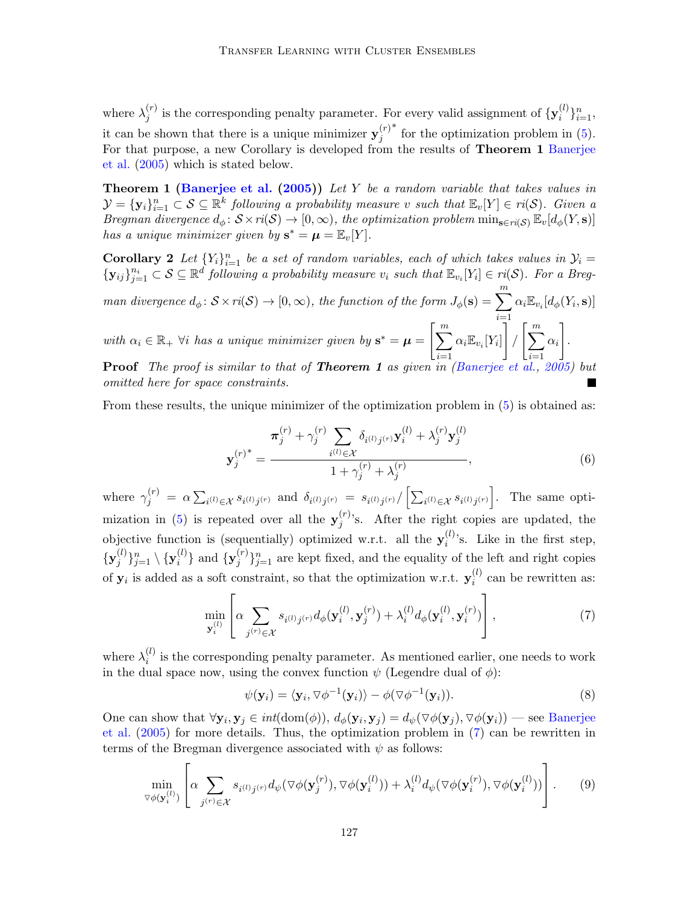where  $\lambda_i^{(r)}$  $j^{(r)}$  is the corresponding penalty parameter. For every valid assignment of  $\{y_i^{(l)}\}$  $i^{(l)}\}_{i=1}^{n},$ it can be shown that there is a unique minimizer  $y_j^{(r)}$ j ∗ for the optimization problem in [\(5\)](#page-3-2). For that purpose, a new Corollary is developed from the results of **Theorem 1** [Banerjee](#page-9-5) [et al.](#page-9-5) [\(2005\)](#page-9-5) which is stated below.

**Theorem 1 [\(Banerjee et al.](#page-9-5) [\(2005\)](#page-9-5))** Let Y be a random variable that takes values in  $\mathcal{Y} = {\bf{y}_i}_{i=1}^n \subset \mathcal{S} \subseteq \mathbb{R}^k$  following a probability measure v such that  $\mathbb{E}_v[Y] \in ri(\mathcal{S})$ . Given a Bregman divergence  $d_{\phi} \colon \mathcal{S} \times ri(\mathcal{S}) \to [0, \infty)$ , the optimization problem  $\min_{\mathbf{s} \in ri(\mathcal{S})} \mathbb{E}_{v}[d_{\phi}(Y, \mathbf{s})]$ has a unique minimizer given by  $s^* = \mu = \mathbb{E}_v[Y]$ .

**Corollary 2** Let  ${Y_i}_{i=1}^n$  be a set of random variables, each of which takes values in  $\mathcal{Y}_i =$  $\{y_{ij}\}_{j=1}^{n_i} \subset S \subseteq \mathbb{R}^d$  following a probability measure  $v_i$  such that  $\mathbb{E}_{v_i}[Y_i] \in ri(S)$ . For a Breg-

man divergence  $d_{\phi} \colon \mathcal{S} \times ri(\mathcal{S}) \to [0, \infty)$ , the function of the form  $J_{\phi}(\mathbf{s}) = \sum_{i=1}^{m} \alpha_i \mathbb{E}_{v_i} [d_{\phi}(Y_i, \mathbf{s})]$  $i=1$ with  $\alpha_i \in \mathbb{R}_+$   $\forall i$  has a unique minimizer given by  $\mathbf{s}^* = \boldsymbol{\mu} = \bigg[\sum_{i=1}^m \alpha_i \mathbf{v}_i\bigg]$  $i=1$  $\alpha_i \mathbb{E}_{v_i}[Y_i]$ 1  $\sqrt{\left(\frac{m}{2}\right)^{m}}$  $i=1$  $\alpha_i$ 1 .

Proof The proof is similar to that of **Theorem 1** as given in [\(Banerjee et al.,](#page-9-5) [2005\)](#page-9-5) but omitted here for space constraints.

From these results, the unique minimizer of the optimization problem in  $(5)$  is obtained as:

<span id="page-4-1"></span>
$$
\mathbf{y}_{j}^{(r)^{*}} = \frac{\boldsymbol{\pi}_{j}^{(r)} + \gamma_{j}^{(r)} \sum_{i^{(l)} \in \mathcal{X}} \delta_{i^{(l)}j^{(r)}} \mathbf{y}_{i}^{(l)} + \lambda_{j}^{(r)} \mathbf{y}_{j}^{(l)}}{1 + \gamma_{j}^{(r)} + \lambda_{j}^{(r)}},
$$
(6)

where  $\gamma_j^{(r)} = \alpha \sum_{i^{(l)} \in \mathcal{X}} s_{i^{(l)}j^{(r)}}$  and  $\delta_{i^{(l)}j^{(r)}} = s_{i^{(l)}j^{(r)}} / \left[ \sum_{i^{(l)} \in \mathcal{X}} s_{i^{(l)}j^{(r)}} \right]$ . The same opti-mization in [\(5\)](#page-3-2) is repeated over all the  $y_i^{(r)}$  $j^{(r)}$ 's. After the right copies are updated, the objective function is (sequentially) optimized w.r.t. all the  $y_i^{(l)}$  $i^{(l)}$ 's. Like in the first step,  $\{{\mathbf y}_i^{(l)}\}$  $\{j^{(l)}\}_{j=1}^n \setminus \{ \mathbf{y}_i^{(l)}$  $\{y_j^{(l)}\}$  and  $\{y_j^{(r)}\}$  ${j \choose j}_{j=1}^n$  are kept fixed, and the equality of the left and right copies of  $y_i$  is added as a soft constraint, so that the optimization w.r.t.  $y_i^{(l)}$  $i^{(i)}$  can be rewritten as:

<span id="page-4-0"></span>
$$
\min_{\mathbf{y}_{i}^{(l)}} \left[ \alpha \sum_{j^{(r)} \in \mathcal{X}} s_{i^{(l)}j^{(r)}} d_{\phi}(\mathbf{y}_{i}^{(l)}, \mathbf{y}_{j}^{(r)}) + \lambda_{i}^{(l)} d_{\phi}(\mathbf{y}_{i}^{(l)}, \mathbf{y}_{i}^{(r)}) \right],\tag{7}
$$

where  $\lambda_i^{(l)}$  $i_j^{(i)}$  is the corresponding penalty parameter. As mentioned earlier, one needs to work in the dual space now, using the convex function  $\psi$  (Legendre dual of  $\phi$ ):

$$
\psi(\mathbf{y}_i) = \langle \mathbf{y}_i, \nabla \phi^{-1}(\mathbf{y}_i) \rangle - \phi(\nabla \phi^{-1}(\mathbf{y}_i)). \tag{8}
$$

One can show that  $\forall y_i, y_j \in int(\text{dom}(\phi)), d_{\phi}(y_i, y_j) = d_{\psi}(\nabla \phi(y_i), \nabla \phi(y_i))$  — see [Banerjee](#page-9-5) [et al.](#page-9-5) [\(2005\)](#page-9-5) for more details. Thus, the optimization problem in [\(7\)](#page-4-0) can be rewritten in terms of the Bregman divergence associated with  $\psi$  as follows:

<span id="page-4-2"></span>
$$
\min_{\triangledown \phi(\mathbf{y}_i^{(l)})} \left[ \alpha \sum_{j^{(r)} \in \mathcal{X}} s_{i^{(l)}j^{(r)}} d_{\psi}(\triangledown \phi(\mathbf{y}_j^{(r)}), \triangledown \phi(\mathbf{y}_i^{(l)})) + \lambda_i^{(l)} d_{\psi}(\triangledown \phi(\mathbf{y}_i^{(r)}), \triangledown \phi(\mathbf{y}_i^{(l)})) \right]. \tag{9}
$$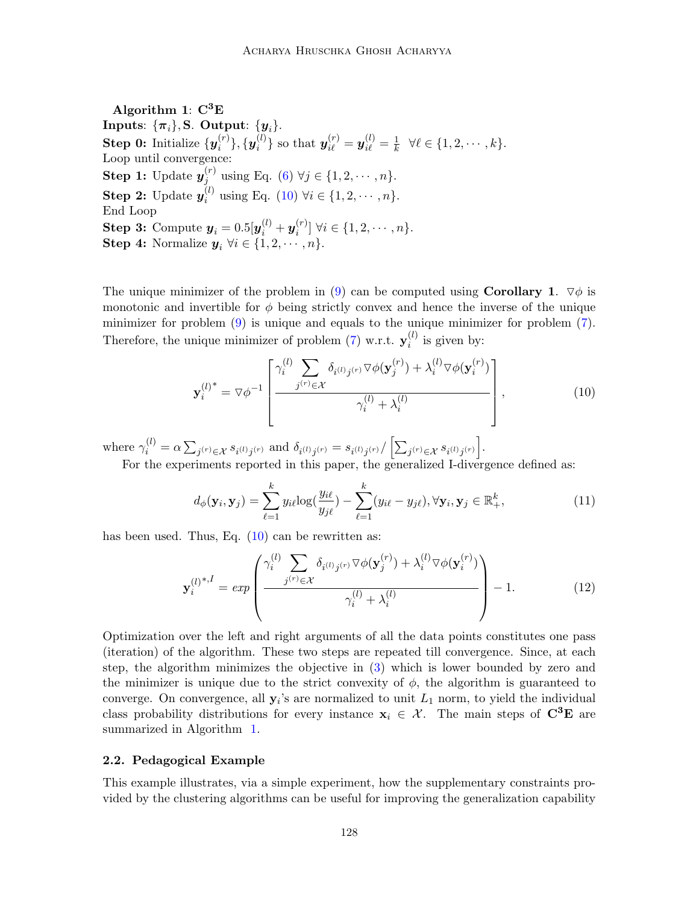<span id="page-5-1"></span>Algorithm 1:  $C^3E$ Inputs:  $\{\pi_i\}$ , S. Output:  $\{y_i\}$ . Step 0: Initialize  $\{y_i^{(r)}\}$  $\{\boldsymbol{y}_i^{(r)}\}, \{\boldsymbol{y}_i^{(l)}$  $\{\boldsymbol{y}_i^{(l)}\}$  so that  $\boldsymbol{y}_{i\ell}^{(r)} = \boldsymbol{y}_{i\ell}^{(l)} = \frac{1}{k}$  $\frac{1}{k}$   $\forall \ell \in \{1, 2, \cdots, k\}.$ Loop until convergence: Step 1: Update  $y_i^{(r)}$  $j_j^{(r)}$  using Eq. [\(6\)](#page-4-1)  $\forall j \in \{1, 2, \dots, n\}.$ Step 2: Update  $y_i^{(l)}$  $i_i^{(t)}$  using Eq. [\(10\)](#page-5-0)  $\forall i \in \{1, 2, \dots, n\}.$ End Loop Step 3: Compute  $\boldsymbol{y}_i = 0.5[\boldsymbol{y}_i^{(l)} + \boldsymbol{y}_i^{(r)}]$  $\{x_i^{(r)}\}$   $\forall i \in \{1, 2, \cdots, n\}.$ **Step 4:** Normalize  $y_i \ \forall i \in \{1, 2, \dots, n\}.$ 

The unique minimizer of the problem in [\(9\)](#page-4-2) can be computed using **Corollary 1.**  $\nabla \phi$  is monotonic and invertible for  $\phi$  being strictly convex and hence the inverse of the unique minimizer for problem [\(9\)](#page-4-2) is unique and equals to the unique minimizer for problem [\(7\)](#page-4-0). Therefore, the unique minimizer of problem [\(7\)](#page-4-0) w.r.t.  $\mathbf{y}_i^{(l)}$  $i^{(i)}$  is given by:

<span id="page-5-0"></span>
$$
\mathbf{y}_{i}^{(l)^{*}} = \nabla \phi^{-1} \left[ \frac{\gamma_{i}^{(l)} \sum_{j^{(r)} \in \mathcal{X}} \delta_{i^{(l)}j^{(r)}} \nabla \phi(\mathbf{y}_{j}^{(r)}) + \lambda_{i}^{(l)} \nabla \phi(\mathbf{y}_{i}^{(r)})}{\gamma_{i}^{(l)} + \lambda_{i}^{(l)}} \right],
$$
\n(10)

where  $\gamma_i^{(l)} = \alpha \sum_{j^{(r)} \in \mathcal{X}} s_{i^{(l)}j^{(r)}}$  and  $\delta_{i^{(l)}j^{(r)}} = s_{i^{(l)}j^{(r)}} / \left[ \sum_{j^{(r)} \in \mathcal{X}} s_{i^{(l)}j^{(r)}} \right]$ .

For the experiments reported in this paper, the generalized I-divergence defined as:

$$
d_{\phi}(\mathbf{y}_i, \mathbf{y}_j) = \sum_{\ell=1}^k y_{i\ell} \log(\frac{y_{i\ell}}{y_{j\ell}}) - \sum_{\ell=1}^k (y_{i\ell} - y_{j\ell}), \forall \mathbf{y}_i, \mathbf{y}_j \in \mathbb{R}_+^k,
$$
\n(11)

has been used. Thus, Eq. [\(10\)](#page-5-0) can be rewritten as:

$$
\mathbf{y}_{i}^{(l)^{*},I} = exp\left(\frac{\gamma_{i}^{(l)} \sum_{j^{(r)} \in \mathcal{X}} \delta_{i^{(l)}j^{(r)}} \nabla \phi(\mathbf{y}_{j}^{(r)}) + \lambda_{i}^{(l)} \nabla \phi(\mathbf{y}_{i}^{(r)})}{\gamma_{i}^{(l)} + \lambda_{i}^{(l)}}\right) - 1.
$$
 (12)

Optimization over the left and right arguments of all the data points constitutes one pass (iteration) of the algorithm. These two steps are repeated till convergence. Since, at each step, the algorithm minimizes the objective in [\(3\)](#page-3-0) which is lower bounded by zero and the minimizer is unique due to the strict convexity of  $\phi$ , the algorithm is guaranteed to converge. On convergence, all  $y_i$ 's are normalized to unit  $L_1$  norm, to yield the individual class probability distributions for every instance  $x_i \in \mathcal{X}$ . The main steps of  $C^3E$  are summarized in Algorithm [1.](#page-5-1)

### 2.2. Pedagogical Example

This example illustrates, via a simple experiment, how the supplementary constraints provided by the clustering algorithms can be useful for improving the generalization capability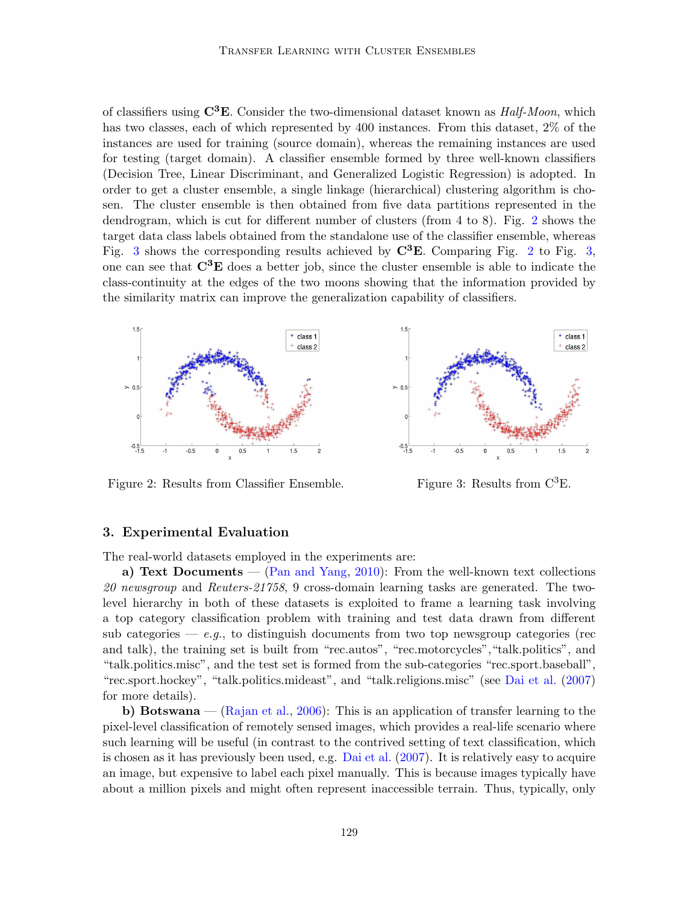of classifiers using  $\mathbb{C}^3\mathbb{E}$ . Consider the two-dimensional dataset known as *Half-Moon*, which has two classes, each of which represented by 400 instances. From this dataset, 2% of the instances are used for training (source domain), whereas the remaining instances are used for testing (target domain). A classifier ensemble formed by three well-known classifiers (Decision Tree, Linear Discriminant, and Generalized Logistic Regression) is adopted. In order to get a cluster ensemble, a single linkage (hierarchical) clustering algorithm is chosen. The cluster ensemble is then obtained from five data partitions represented in the dendrogram, which is cut for different number of clusters (from 4 to 8). Fig. [2](#page-6-0) shows the target data class labels obtained from the standalone use of the classifier ensemble, whereas Fig. [3](#page-6-1) shows the corresponding results achieved by  $\mathbb{C}^3$ **E**. Comparing Fig. [2](#page-6-0) to Fig. [3,](#page-6-1) one can see that  $\mathbb{C}^3$ **E** does a better job, since the cluster ensemble is able to indicate the class-continuity at the edges of the two moons showing that the information provided by the similarity matrix can improve the generalization capability of classifiers.



<span id="page-6-0"></span>Figure 2: Results from Classifier Ensemble. Figure 3: Results from  $C^{3}E$ .

<span id="page-6-1"></span>

#### 3. Experimental Evaluation

The real-world datasets employed in the experiments are:

a) Text Documents — [\(Pan and Yang,](#page-9-0) [2010\)](#page-9-0): From the well-known text collections 20 newsgroup and Reuters-21758, 9 cross-domain learning tasks are generated. The twolevel hierarchy in both of these datasets is exploited to frame a learning task involving a top category classification problem with training and test data drawn from different sub categories — e.g., to distinguish documents from two top newsgroup categories (rec and talk), the training set is built from "rec.autos", "rec.motorcycles", "talk.politics", and "talk.politics.misc", and the test set is formed from the sub-categories "rec.sport.baseball", "rec.sport.hockey", "talk.politics.mideast", and "talk.religions.misc" (see [Dai et al.](#page-9-6) [\(2007\)](#page-9-6) for more details).

b) Botswana — [\(Rajan et al.,](#page-10-5) [2006\)](#page-10-5): This is an application of transfer learning to the pixel-level classification of remotely sensed images, which provides a real-life scenario where such learning will be useful (in contrast to the contrived setting of text classification, which is chosen as it has previously been used, e.g. [Dai et al.](#page-9-6) [\(2007\)](#page-9-6). It is relatively easy to acquire an image, but expensive to label each pixel manually. This is because images typically have about a million pixels and might often represent inaccessible terrain. Thus, typically, only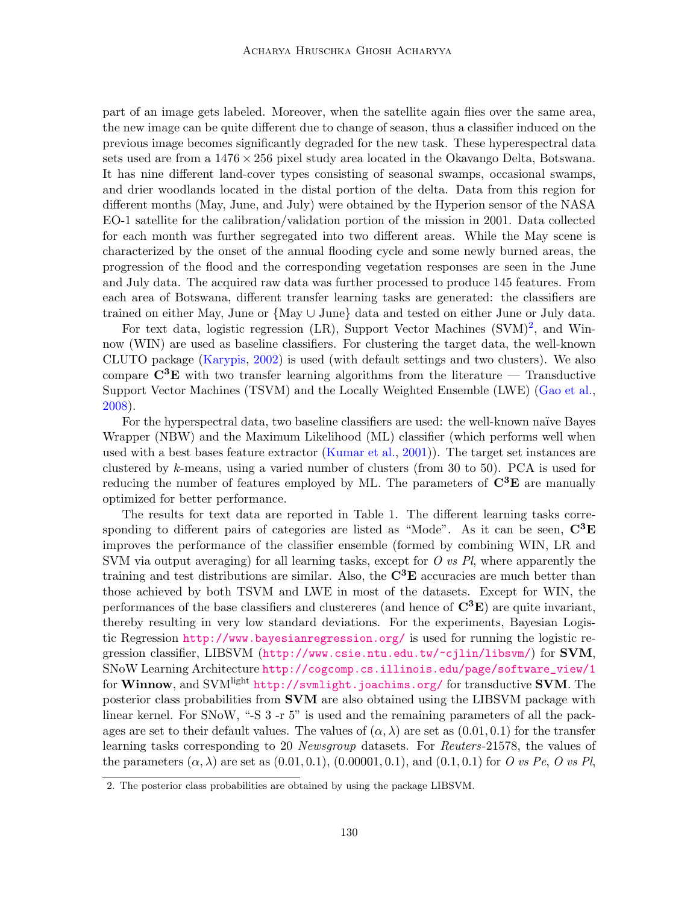part of an image gets labeled. Moreover, when the satellite again flies over the same area, the new image can be quite different due to change of season, thus a classifier induced on the previous image becomes significantly degraded for the new task. These hyperespectral data sets used are from a  $1476 \times 256$  pixel study area located in the Okavango Delta, Botswana. It has nine different land-cover types consisting of seasonal swamps, occasional swamps, and drier woodlands located in the distal portion of the delta. Data from this region for different months (May, June, and July) were obtained by the Hyperion sensor of the NASA EO-1 satellite for the calibration/validation portion of the mission in 2001. Data collected for each month was further segregated into two different areas. While the May scene is characterized by the onset of the annual flooding cycle and some newly burned areas, the progression of the flood and the corresponding vegetation responses are seen in the June and July data. The acquired raw data was further processed to produce 145 features. From each area of Botswana, different transfer learning tasks are generated: the classifiers are trained on either May, June or {May ∪ June} data and tested on either June or July data.

For text data, logistic regression (LR), Support Vector Machines (SVM)<sup>[2](#page-7-0)</sup>, and Winnow (WIN) are used as baseline classifiers. For clustering the target data, the well-known CLUTO package [\(Karypis,](#page-9-7) [2002\)](#page-9-7) is used (with default settings and two clusters). We also compare  $\mathbf{C}^3\mathbf{E}$  with two transfer learning algorithms from the literature — Transductive Support Vector Machines (TSVM) and the Locally Weighted Ensemble (LWE) [\(Gao et al.,](#page-9-3) [2008\)](#page-9-3).

For the hyperspectral data, two baseline classifiers are used: the well-known naïve Bayes Wrapper (NBW) and the Maximum Likelihood (ML) classifier (which performs well when used with a best bases feature extractor [\(Kumar et al.,](#page-9-8) [2001\)](#page-9-8)). The target set instances are clustered by k-means, using a varied number of clusters (from 30 to 50). PCA is used for reducing the number of features employed by ML. The parameters of  $\mathbb{C}^3\mathbb{E}$  are manually optimized for better performance.

The results for text data are reported in Table 1. The different learning tasks corresponding to different pairs of categories are listed as "Mode". As it can be seen,  $\mathbf{C}^3\mathbf{E}$ improves the performance of the classifier ensemble (formed by combining WIN, LR and SVM via output averaging) for all learning tasks, except for  $O$  vs  $Pl$ , where apparently the training and test distributions are similar. Also, the  $\mathbf{C}^3\mathbf{E}$  accuracies are much better than those achieved by both TSVM and LWE in most of the datasets. Except for WIN, the performances of the base classifiers and clustereres (and hence of  $\mathbb{C}^3\mathbb{E}$ ) are quite invariant, thereby resulting in very low standard deviations. For the experiments, Bayesian Logistic Regression <http://www.bayesianregression.org/> is used for running the logistic regression classifier, LIBSVM (<http://www.csie.ntu.edu.tw/~cjlin/libsvm/>) for SVM, SNoW Learning Architecture [http://cogcomp.cs.illinois.edu/page/software\\_view/1](http://cogcomp.cs.illinois.edu/page/software_view/1) for Winnow, and SVM<sup>light</sup> <http://svmlight.joachims.org/> for transductive SVM. The posterior class probabilities from SVM are also obtained using the LIBSVM package with linear kernel. For SNoW, "-S 3 -r 5" is used and the remaining parameters of all the packages are set to their default values. The values of  $(\alpha, \lambda)$  are set as  $(0.01, 0.1)$  for the transfer learning tasks corresponding to 20 Newsgroup datasets. For Reuters-21578, the values of the parameters  $(\alpha, \lambda)$  are set as  $(0.01, 0.1), (0.00001, 0.1),$  and  $(0.1, 0.1)$  for O vs Pe, O vs Pl,

<span id="page-7-0"></span><sup>2.</sup> The posterior class probabilities are obtained by using the package LIBSVM.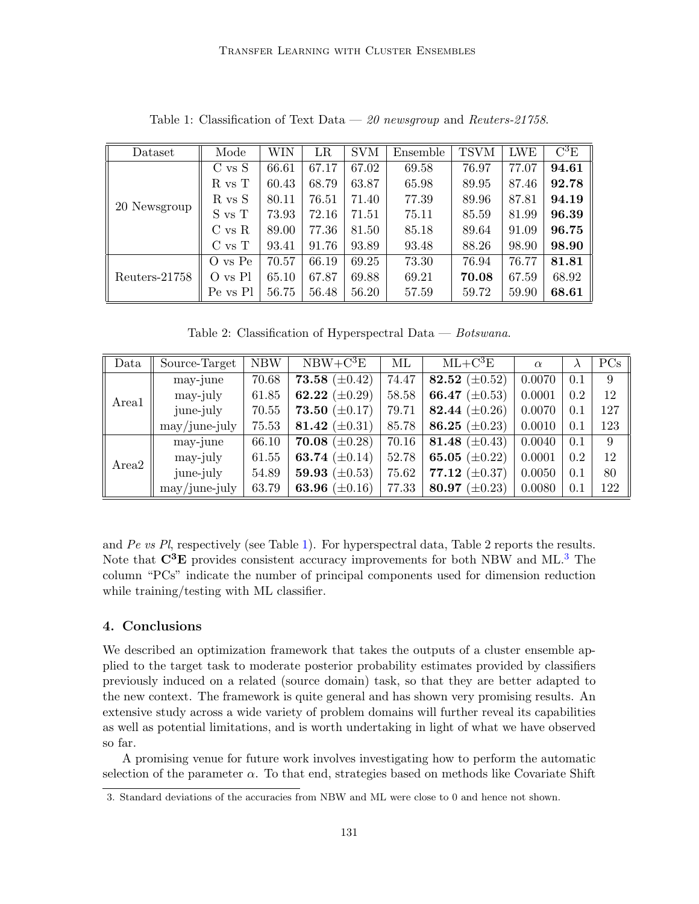| Dataset       | Mode       | WIN   | LR    | <b>SVM</b> | Ensemble | <b>TSVM</b> | <b>LWE</b> | $\rm C^3E$ |
|---------------|------------|-------|-------|------------|----------|-------------|------------|------------|
| 20 Newsgroup  | $C$ vs $S$ | 66.61 | 67.17 | 67.02      | 69.58    | 76.97       | 77.07      | 94.61      |
|               | $R$ vs $T$ | 60.43 | 68.79 | 63.87      | 65.98    | 89.95       | 87.46      | 92.78      |
|               | R vs S     | 80.11 | 76.51 | 71.40      | 77.39    | 89.96       | 87.81      | 94.19      |
|               | S vs T     | 73.93 | 72.16 | 71.51      | 75.11    | 85.59       | 81.99      | 96.39      |
|               | $C$ vs $R$ | 89.00 | 77.36 | 81.50      | 85.18    | 89.64       | 91.09      | 96.75      |
|               | $C$ vs $T$ | 93.41 | 91.76 | 93.89      | 93.48    | 88.26       | 98.90      | 98.90      |
| Reuters-21758 | O vs Pe    | 70.57 | 66.19 | 69.25      | 73.30    | 76.94       | 76.77      | 81.81      |
|               | O vs Pl    | 65.10 | 67.87 | 69.88      | 69.21    | 70.08       | 67.59      | 68.92      |
|               | Pe vs Pl   | 56.75 | 56.48 | 56.20      | 57.59    | 59.72       | 59.90      | 68.61      |

<span id="page-8-0"></span>Table 1: Classification of Text Data —  $\it 20$  newsgroup and Reuters-21758.

Table 2: Classification of Hyperspectral Data — Botswana.

| Data              | Source-Target                 | <b>NBW</b> | $NBW+C^3E$         | ML    | $ML + C^3E$           | $\alpha$ | $\lambda$ | PCs |
|-------------------|-------------------------------|------------|--------------------|-------|-----------------------|----------|-----------|-----|
| Area1             | may-june                      | 70.68      | 73.58 $(\pm 0.42)$ | 74.47 | 82.52 $(\pm 0.52)$    | 0.0070   | 0.1       | 9   |
|                   | may-july                      | 61.85      | 62.22 $(\pm 0.29)$ | 58.58 | 66.47<br>$(\pm 0.53)$ | 0.0001   | 0.2       | 12  |
|                   | june-july                     | 70.55      | 73.50 $(\pm 0.17)$ | 79.71 | 82.44 $(\pm 0.26)$    | 0.0070   | 0.1       | 127 |
|                   | $\text{may}/\text{june-july}$ | 75.53      | 81.42 $(\pm 0.31)$ | 85.78 | 86.25 $(\pm 0.23)$    | 0.0010   | 0.1       | 123 |
| Area <sub>2</sub> | may-june                      | 66.10      | 70.08 $(\pm 0.28)$ | 70.16 | 81.48 $(\pm 0.43)$    | 0.0040   | 0.1       | 9   |
|                   | may-july                      | 61.55      | 63.74 $(\pm 0.14)$ | 52.78 | 65.05 $(\pm 0.22)$    | 0.0001   | 0.2       | 12  |
|                   | june-july                     | 54.89      | 59.93 $(\pm 0.53)$ | 75.62 | 77.12<br>$(\pm 0.37)$ | 0.0050   | 0.1       | 80  |
|                   | $\text{may/}\text{june-july}$ | 63.79      | 63.96 $(\pm 0.16)$ | 77.33 | 80.97<br>$(\pm 0.23)$ | 0.0080   | 0.1       | 122 |

and Pe vs Pl, respectively (see Table [1\)](#page-8-0). For hyperspectral data, Table 2 reports the results. Note that  $\mathbb{C}^3$  $\mathbb{C}^3$ **E** provides consistent accuracy improvements for both NBW and ML.<sup>3</sup> The column "PCs" indicate the number of principal components used for dimension reduction while training/testing with ML classifier.

## 4. Conclusions

We described an optimization framework that takes the outputs of a cluster ensemble applied to the target task to moderate posterior probability estimates provided by classifiers previously induced on a related (source domain) task, so that they are better adapted to the new context. The framework is quite general and has shown very promising results. An extensive study across a wide variety of problem domains will further reveal its capabilities as well as potential limitations, and is worth undertaking in light of what we have observed so far.

A promising venue for future work involves investigating how to perform the automatic selection of the parameter  $\alpha$ . To that end, strategies based on methods like Covariate Shift

<span id="page-8-1"></span><sup>3.</sup> Standard deviations of the accuracies from NBW and ML were close to 0 and hence not shown.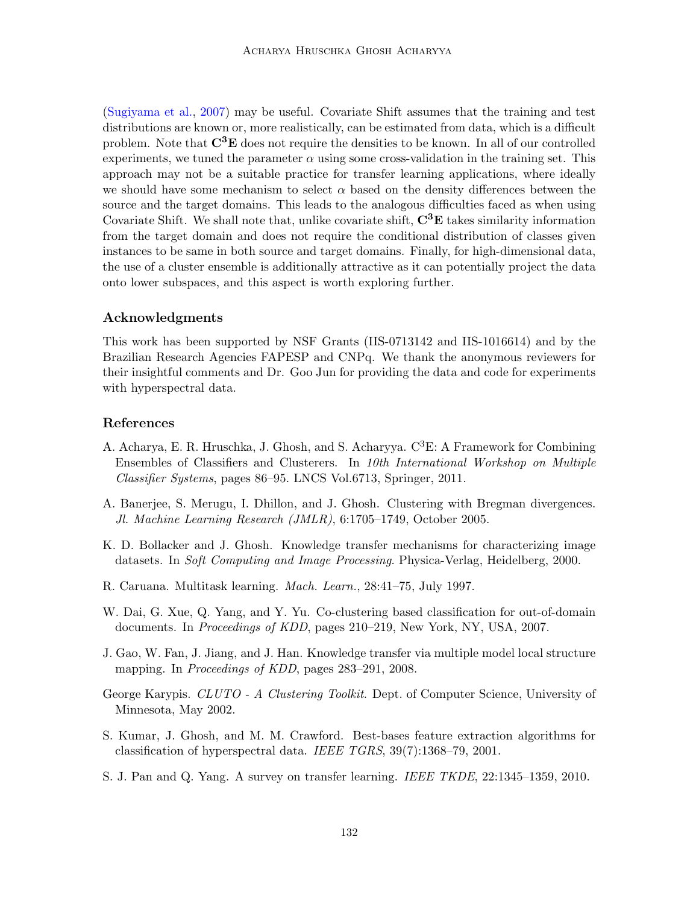[\(Sugiyama et al.,](#page-10-6) [2007\)](#page-10-6) may be useful. Covariate Shift assumes that the training and test distributions are known or, more realistically, can be estimated from data, which is a difficult problem. Note that  $\mathbf{C}^3\mathbf{E}$  does not require the densities to be known. In all of our controlled experiments, we tuned the parameter  $\alpha$  using some cross-validation in the training set. This approach may not be a suitable practice for transfer learning applications, where ideally we should have some mechanism to select  $\alpha$  based on the density differences between the source and the target domains. This leads to the analogous difficulties faced as when using Covariate Shift. We shall note that, unlike covariate shift,  $\mathbf{C}^3\mathbf{E}$  takes similarity information from the target domain and does not require the conditional distribution of classes given instances to be same in both source and target domains. Finally, for high-dimensional data, the use of a cluster ensemble is additionally attractive as it can potentially project the data onto lower subspaces, and this aspect is worth exploring further.

#### Acknowledgments

This work has been supported by NSF Grants (IIS-0713142 and IIS-1016614) and by the Brazilian Research Agencies FAPESP and CNPq. We thank the anonymous reviewers for their insightful comments and Dr. Goo Jun for providing the data and code for experiments with hyperspectral data.

### References

- <span id="page-9-4"></span>A. Acharya, E. R. Hruschka, J. Ghosh, and S. Acharyya.  $C^3E$ : A Framework for Combining Ensembles of Classifiers and Clusterers. In 10th International Workshop on Multiple Classifier Systems, pages 86–95. LNCS Vol.6713, Springer, 2011.
- <span id="page-9-5"></span>A. Banerjee, S. Merugu, I. Dhillon, and J. Ghosh. Clustering with Bregman divergences. Jl. Machine Learning Research (JMLR), 6:1705–1749, October 2005.
- <span id="page-9-2"></span>K. D. Bollacker and J. Ghosh. Knowledge transfer mechanisms for characterizing image datasets. In Soft Computing and Image Processing. Physica-Verlag, Heidelberg, 2000.
- <span id="page-9-1"></span>R. Caruana. Multitask learning. Mach. Learn., 28:41–75, July 1997.
- <span id="page-9-6"></span>W. Dai, G. Xue, Q. Yang, and Y. Yu. Co-clustering based classification for out-of-domain documents. In *Proceedings of KDD*, pages 210–219, New York, NY, USA, 2007.
- <span id="page-9-3"></span>J. Gao, W. Fan, J. Jiang, and J. Han. Knowledge transfer via multiple model local structure mapping. In *Proceedings of KDD*, pages 283–291, 2008.
- <span id="page-9-7"></span>George Karypis. CLUTO - A Clustering Toolkit. Dept. of Computer Science, University of Minnesota, May 2002.
- <span id="page-9-8"></span>S. Kumar, J. Ghosh, and M. M. Crawford. Best-bases feature extraction algorithms for classification of hyperspectral data. IEEE TGRS, 39(7):1368–79, 2001.
- <span id="page-9-0"></span>S. J. Pan and Q. Yang. A survey on transfer learning. IEEE TKDE, 22:1345–1359, 2010.